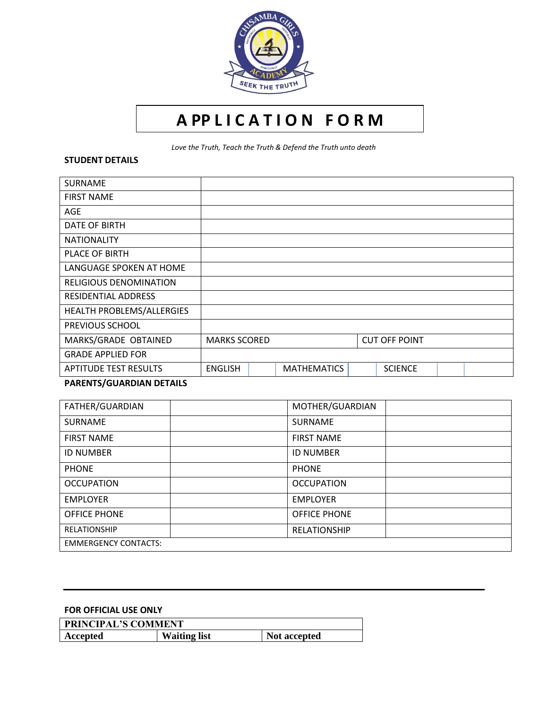

# **A PP L I C A T I O N F O R M**

*Love the Truth, Teach the Truth & Defend the Truth unto death*

#### **STUDENT DETAILS**

| <b>SURNAME</b>                |                     |  |                    |                      |  |  |
|-------------------------------|---------------------|--|--------------------|----------------------|--|--|
| <b>FIRST NAME</b>             |                     |  |                    |                      |  |  |
| AGE                           |                     |  |                    |                      |  |  |
| DATE OF BIRTH                 |                     |  |                    |                      |  |  |
| <b>NATIONALITY</b>            |                     |  |                    |                      |  |  |
| PLACE OF BIRTH                |                     |  |                    |                      |  |  |
| LANGUAGE SPOKEN AT HOME       |                     |  |                    |                      |  |  |
| <b>RELIGIOUS DENOMINATION</b> |                     |  |                    |                      |  |  |
| <b>RESIDENTIAL ADDRESS</b>    |                     |  |                    |                      |  |  |
| HEALTH PROBLEMS/ALLERGIES     |                     |  |                    |                      |  |  |
| PREVIOUS SCHOOL               |                     |  |                    |                      |  |  |
| MARKS/GRADE OBTAINED          | <b>MARKS SCORED</b> |  |                    | <b>CUT OFF POINT</b> |  |  |
| <b>GRADE APPLIED FOR</b>      |                     |  |                    |                      |  |  |
| <b>APTITUDE TEST RESULTS</b>  | <b>ENGLISH</b>      |  | <b>MATHEMATICS</b> | <b>SCIENCE</b>       |  |  |

## **PARENTS/GUARDIAN DETAILS**

| FATHER/GUARDIAN             | MOTHER/GUARDIAN     |
|-----------------------------|---------------------|
| <b>SURNAME</b>              | <b>SURNAME</b>      |
| <b>FIRST NAME</b>           | <b>FIRST NAME</b>   |
| <b>ID NUMBER</b>            | <b>ID NUMBER</b>    |
| <b>PHONE</b>                | <b>PHONE</b>        |
| <b>OCCUPATION</b>           | <b>OCCUPATION</b>   |
| <b>EMPLOYER</b>             | <b>EMPLOYER</b>     |
| <b>OFFICE PHONE</b>         | <b>OFFICE PHONE</b> |
| <b>RELATIONSHIP</b>         | <b>RELATIONSHIP</b> |
| <b>EMMERGENCY CONTACTS:</b> |                     |

### **FOR OFFICIAL USE ONLY**

| <b>PRINCIPAL'S COMMENT</b> |                     |              |  |  |  |  |
|----------------------------|---------------------|--------------|--|--|--|--|
| Accepted                   | <b>Waiting list</b> | Not accepted |  |  |  |  |